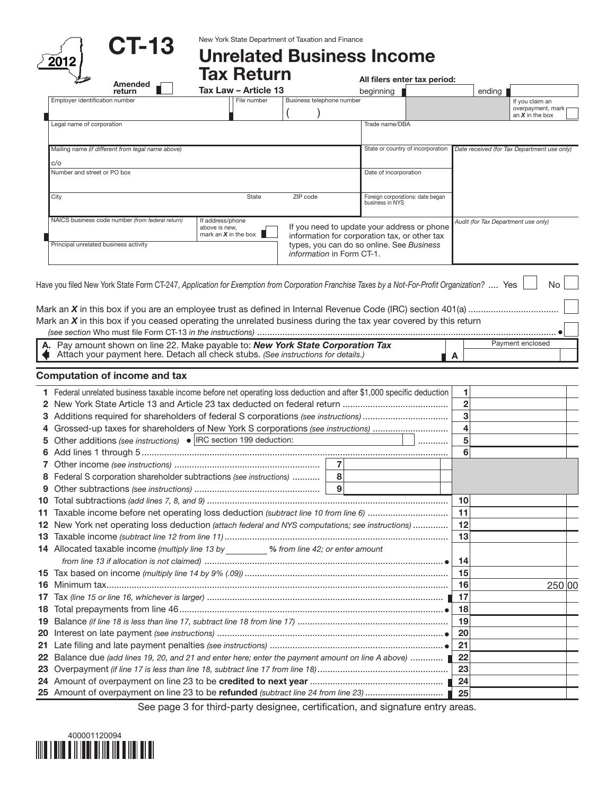|           | CT-13                                                                                                                                                             | New York State Department of Taxation and Finance |                           |                |                                                     |                |                   |                                             |  |  |  |
|-----------|-------------------------------------------------------------------------------------------------------------------------------------------------------------------|---------------------------------------------------|---------------------------|----------------|-----------------------------------------------------|----------------|-------------------|---------------------------------------------|--|--|--|
|           | 2012                                                                                                                                                              | <b>Unrelated Business Income</b>                  |                           |                |                                                     |                |                   |                                             |  |  |  |
|           |                                                                                                                                                                   | <b>Tax Return</b>                                 |                           |                |                                                     |                |                   |                                             |  |  |  |
|           | Amended                                                                                                                                                           |                                                   |                           |                | All filers enter tax period:                        |                |                   |                                             |  |  |  |
|           | return                                                                                                                                                            | Tax Law - Article 13                              |                           |                | beginning                                           |                | ending            |                                             |  |  |  |
|           | Employer identification number                                                                                                                                    | File number                                       | Business telephone number |                |                                                     |                |                   | If you claim an<br>overpayment, mark        |  |  |  |
|           | Legal name of corporation                                                                                                                                         |                                                   |                           |                | Trade name/DBA                                      |                |                   | an $X$ in the box                           |  |  |  |
|           |                                                                                                                                                                   |                                                   |                           |                |                                                     |                |                   |                                             |  |  |  |
|           | Mailing name (if different from legal name above)                                                                                                                 |                                                   |                           |                | State or country of incorporation                   |                |                   | Date received (for Tax Department use only) |  |  |  |
|           | c/o                                                                                                                                                               |                                                   |                           |                |                                                     |                |                   |                                             |  |  |  |
|           | Number and street or PO box                                                                                                                                       |                                                   |                           |                | Date of incorporation                               |                |                   |                                             |  |  |  |
|           |                                                                                                                                                                   |                                                   |                           |                |                                                     |                |                   |                                             |  |  |  |
|           | City                                                                                                                                                              | State                                             | ZIP code                  |                | Foreign corporations: date began<br>business in NYS |                |                   |                                             |  |  |  |
|           |                                                                                                                                                                   |                                                   |                           |                |                                                     |                |                   |                                             |  |  |  |
|           | NAICS business code number (from federal return)                                                                                                                  | If address/phone<br>above is new,                 |                           |                | If you need to update your address or phone         |                |                   | Audit (for Tax Department use only)         |  |  |  |
|           |                                                                                                                                                                   | mark an $X$ in the box $\parallel$                |                           |                | information for corporation tax, or other tax       |                |                   |                                             |  |  |  |
|           | Principal unrelated business activity                                                                                                                             |                                                   | information in Form CT-1. |                | types, you can do so online. See Business           |                |                   |                                             |  |  |  |
|           |                                                                                                                                                                   |                                                   |                           |                |                                                     |                |                   |                                             |  |  |  |
|           |                                                                                                                                                                   |                                                   |                           |                |                                                     |                |                   |                                             |  |  |  |
|           | Have you filed New York State Form CT-247, Application for Exemption from Corporation Franchise Taxes by a Not-For-Profit Organization?  Yes                      |                                                   |                           |                |                                                     |                |                   | <b>No</b>                                   |  |  |  |
|           |                                                                                                                                                                   |                                                   |                           |                |                                                     |                |                   |                                             |  |  |  |
|           |                                                                                                                                                                   |                                                   |                           |                |                                                     |                |                   |                                             |  |  |  |
|           | Mark an $X$ in this box if you ceased operating the unrelated business during the tax year covered by this return                                                 |                                                   |                           |                |                                                     |                |                   |                                             |  |  |  |
|           |                                                                                                                                                                   |                                                   |                           |                |                                                     |                |                   |                                             |  |  |  |
|           | Pay amount shown on line 22. Make payable to: New York State Corporation Tax<br>Attach your payment here. Detach all check stubs. (See instructions for details.) |                                                   |                           |                |                                                     |                | A                 | Payment enclosed                            |  |  |  |
|           |                                                                                                                                                                   |                                                   |                           |                |                                                     |                |                   |                                             |  |  |  |
|           | <b>Computation of income and tax</b>                                                                                                                              |                                                   |                           |                |                                                     |                |                   |                                             |  |  |  |
|           |                                                                                                                                                                   |                                                   |                           |                |                                                     |                | 1.                |                                             |  |  |  |
|           | 1 Federal unrelated business taxable income before net operating loss deduction and after \$1,000 specific deduction                                              |                                                   |                           |                |                                                     | $\overline{2}$ |                   |                                             |  |  |  |
|           |                                                                                                                                                                   |                                                   |                           |                |                                                     |                | 3                 |                                             |  |  |  |
|           | 4 Grossed-up taxes for shareholders of New York S corporations (see instructions)                                                                                 |                                                   |                           |                |                                                     |                | 4                 |                                             |  |  |  |
|           | 5 Other additions (see instructions) $\bullet$  IRC section 199 deduction:                                                                                        |                                                   |                           |                |                                                     |                | 5                 |                                             |  |  |  |
|           |                                                                                                                                                                   |                                                   |                           |                |                                                     |                | 6                 |                                             |  |  |  |
|           |                                                                                                                                                                   |                                                   |                           | $\overline{7}$ |                                                     |                |                   |                                             |  |  |  |
|           | 8 Federal S corporation shareholder subtractions (see instructions)                                                                                               |                                                   |                           | 8              |                                                     |                |                   |                                             |  |  |  |
|           |                                                                                                                                                                   |                                                   |                           |                |                                                     |                |                   |                                             |  |  |  |
|           |                                                                                                                                                                   |                                                   |                           |                |                                                     |                | 10                |                                             |  |  |  |
| 11        | Taxable income before net operating loss deduction (subtract line 10 from line 6)                                                                                 |                                                   |                           |                |                                                     |                | 11                |                                             |  |  |  |
|           | 12 New York net operating loss deduction (attach federal and NYS computations; see instructions)                                                                  |                                                   |                           |                |                                                     |                | 12                |                                             |  |  |  |
|           |                                                                                                                                                                   |                                                   |                           |                |                                                     |                | 13                |                                             |  |  |  |
|           | 14 Allocated taxable income (multiply line 13 by ________ % from line 42; or enter amount                                                                         |                                                   |                           |                |                                                     |                |                   |                                             |  |  |  |
|           |                                                                                                                                                                   |                                                   |                           |                |                                                     |                | 14                |                                             |  |  |  |
|           |                                                                                                                                                                   |                                                   |                           |                |                                                     |                | 15                |                                             |  |  |  |
| 16.<br>17 |                                                                                                                                                                   |                                                   |                           |                |                                                     |                | 16<br>17          | 250 00                                      |  |  |  |
| 18.       |                                                                                                                                                                   |                                                   |                           |                |                                                     |                | 18                |                                             |  |  |  |
| 19        |                                                                                                                                                                   |                                                   |                           |                |                                                     |                | 19                |                                             |  |  |  |
| 20        |                                                                                                                                                                   |                                                   |                           |                |                                                     |                | 20                |                                             |  |  |  |
| 21        |                                                                                                                                                                   |                                                   |                           |                |                                                     |                | 21                |                                             |  |  |  |
| 22        | Balance due (add lines 19, 20, and 21 and enter here; enter the payment amount on line A above)                                                                   |                                                   |                           |                |                                                     |                | 22                |                                             |  |  |  |
| 23        |                                                                                                                                                                   |                                                   |                           |                |                                                     |                | 23                |                                             |  |  |  |
|           |                                                                                                                                                                   |                                                   |                           |                |                                                     |                | 24                |                                             |  |  |  |
|           |                                                                                                                                                                   |                                                   |                           |                |                                                     |                | $\blacksquare$ 25 |                                             |  |  |  |

See page 3 for third-party designee, certification, and signature entry areas.

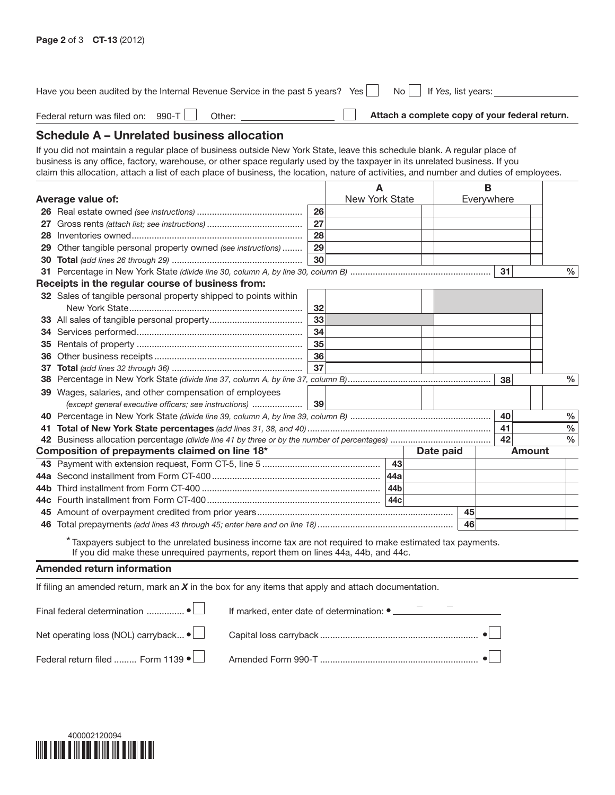| Have you been audited by the Internal Revenue Service in the past 5 years? Yes                                                                                                                  |    |                | No.             |  |  | If Yes, list years: |               |                                                |
|-------------------------------------------------------------------------------------------------------------------------------------------------------------------------------------------------|----|----------------|-----------------|--|--|---------------------|---------------|------------------------------------------------|
| Federal return was filed on: 990-T<br>Other:                                                                                                                                                    |    |                |                 |  |  |                     |               | Attach a complete copy of your federal return. |
| Schedule A - Unrelated business allocation                                                                                                                                                      |    |                |                 |  |  |                     |               |                                                |
| If you did not maintain a regular place of business outside New York State, leave this schedule blank. A regular place of                                                                       |    |                |                 |  |  |                     |               |                                                |
| business is any office, factory, warehouse, or other space regularly used by the taxpayer in its unrelated business. If you                                                                     |    |                |                 |  |  |                     |               |                                                |
| claim this allocation, attach a list of each place of business, the location, nature of activities, and number and duties of employees.                                                         |    |                |                 |  |  |                     |               |                                                |
|                                                                                                                                                                                                 |    |                |                 |  |  | в                   |               |                                                |
| Average value of:                                                                                                                                                                               |    | New York State |                 |  |  | Everywhere          |               |                                                |
|                                                                                                                                                                                                 | 26 |                |                 |  |  |                     |               |                                                |
|                                                                                                                                                                                                 | 27 |                |                 |  |  |                     |               |                                                |
|                                                                                                                                                                                                 | 28 |                |                 |  |  |                     |               |                                                |
| 29 Other tangible personal property owned (see instructions)                                                                                                                                    | 29 |                |                 |  |  |                     |               |                                                |
|                                                                                                                                                                                                 | 30 |                |                 |  |  |                     |               |                                                |
|                                                                                                                                                                                                 |    |                |                 |  |  |                     | 31            | $\%$                                           |
| Receipts in the regular course of business from:                                                                                                                                                |    |                |                 |  |  |                     |               |                                                |
| 32 Sales of tangible personal property shipped to points within                                                                                                                                 |    |                |                 |  |  |                     |               |                                                |
|                                                                                                                                                                                                 | 32 |                |                 |  |  |                     |               |                                                |
|                                                                                                                                                                                                 | 33 |                |                 |  |  |                     |               |                                                |
|                                                                                                                                                                                                 | 34 |                |                 |  |  |                     |               |                                                |
|                                                                                                                                                                                                 | 35 |                |                 |  |  |                     |               |                                                |
|                                                                                                                                                                                                 | 36 |                |                 |  |  |                     |               |                                                |
|                                                                                                                                                                                                 | 37 |                |                 |  |  |                     |               |                                                |
|                                                                                                                                                                                                 |    |                |                 |  |  |                     | 38            | $\%$                                           |
| 39 Wages, salaries, and other compensation of employees                                                                                                                                         |    |                |                 |  |  |                     |               |                                                |
| (except general executive officers; see instructions)                                                                                                                                           | 39 |                |                 |  |  |                     |               |                                                |
|                                                                                                                                                                                                 |    |                |                 |  |  |                     | 40            | $\%$                                           |
|                                                                                                                                                                                                 |    |                |                 |  |  |                     | 41            | %                                              |
|                                                                                                                                                                                                 |    |                |                 |  |  |                     | 42            | $\frac{0}{0}$                                  |
| Composition of prepayments claimed on line 18*                                                                                                                                                  |    |                | Date paid       |  |  |                     | <b>Amount</b> |                                                |
|                                                                                                                                                                                                 |    |                | 43              |  |  |                     |               |                                                |
|                                                                                                                                                                                                 |    |                |                 |  |  |                     |               |                                                |
|                                                                                                                                                                                                 |    |                |                 |  |  |                     |               |                                                |
|                                                                                                                                                                                                 |    |                | 44 <sub>c</sub> |  |  |                     |               |                                                |
|                                                                                                                                                                                                 |    |                |                 |  |  | 45                  |               |                                                |
|                                                                                                                                                                                                 |    |                |                 |  |  | 46                  |               |                                                |
| * Taxpayers subject to the unrelated business income tax are not required to make estimated tax payments.<br>If you did make these unrequired payments, report them on lines 44a, 44b, and 44c. |    |                |                 |  |  |                     |               |                                                |

## Amended return information

If filing an amended return, mark an *X* in the box for any items that apply and attach documentation.